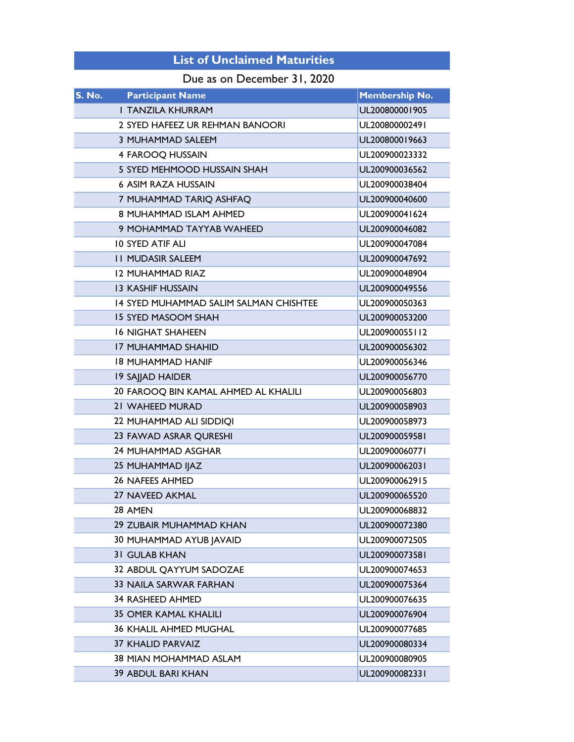## List of Unclaimed Maturities

## Due as on December 31, 2020

| <b>S. No.</b><br><b>Participant Name</b> | <b>Membership No.</b> |  |
|------------------------------------------|-----------------------|--|
| <b>I TANZILA KHURRAM</b>                 | UL200800001905        |  |
| 2 SYED HAFEEZ UR REHMAN BANOORI          | UL200800002491        |  |
| 3 MUHAMMAD SALEEM                        | UL200800019663        |  |
| 4 FAROOQ HUSSAIN                         | UL200900023332        |  |
| 5 SYED MEHMOOD HUSSAIN SHAH              | UL200900036562        |  |
| <b>6 ASIM RAZA HUSSAIN</b>               | UL200900038404        |  |
| 7 MUHAMMAD TARIQ ASHFAQ                  | UL200900040600        |  |
| 8 MUHAMMAD ISLAM AHMED                   | UL200900041624        |  |
| 9 MOHAMMAD TAYYAB WAHEED                 | UL200900046082        |  |
| <b>10 SYED ATIF ALI</b>                  | UL200900047084        |  |
| <b>II MUDASIR SALEEM</b>                 | UL200900047692        |  |
| <b>12 MUHAMMAD RIAZ</b>                  | UL200900048904        |  |
| <b>13 KASHIF HUSSAIN</b>                 | UL200900049556        |  |
| 14 SYED MUHAMMAD SALIM SALMAN CHISHTEE   | UL200900050363        |  |
| <b>15 SYED MASOOM SHAH</b>               | UL200900053200        |  |
| <b>16 NIGHAT SHAHEEN</b>                 | UL200900055112        |  |
| <b>17 MUHAMMAD SHAHID</b>                | UL200900056302        |  |
| <b>18 MUHAMMAD HANIF</b>                 | UL200900056346        |  |
| 19 SAJJAD HAIDER                         | UL200900056770        |  |
| 20 FAROOQ BIN KAMAL AHMED AL KHALILI     | UL200900056803        |  |
| 21 WAHEED MURAD                          | UL200900058903        |  |
| 22 MUHAMMAD ALI SIDDIQI                  | UL200900058973        |  |
| 23 FAWAD ASRAR QURESHI                   | UL200900059581        |  |
| 24 MUHAMMAD ASGHAR                       | UL200900060771        |  |
| 25 MUHAMMAD IJAZ                         | UL200900062031        |  |
| <b>26 NAFEES AHMED</b>                   | UL200900062915        |  |
| <b>27 NAVEED AKMAL</b>                   | UL200900065520        |  |
| 28 AMEN                                  | UL200900068832        |  |
| 29 ZUBAIR MUHAMMAD KHAN                  | UL200900072380        |  |
| 30 MUHAMMAD AYUB JAVAID                  | UL200900072505        |  |
| <b>31 GULAB KHAN</b>                     | UL200900073581        |  |
| 32 ABDUL QAYYUM SADOZAE                  | UL200900074653        |  |
| <b>33 NAILA SARWAR FARHAN</b>            | UL200900075364        |  |
| 34 RASHEED AHMED                         | UL200900076635        |  |
| <b>35 OMER KAMAL KHALILI</b>             | UL200900076904        |  |
| <b>36 KHALIL AHMED MUGHAL</b>            | UL200900077685        |  |
| <b>37 KHALID PARVAIZ</b>                 | UL200900080334        |  |
| <b>38 MIAN MOHAMMAD ASLAM</b>            | UL200900080905        |  |
| <b>39 ABDUL BARI KHAN</b>                | UL200900082331        |  |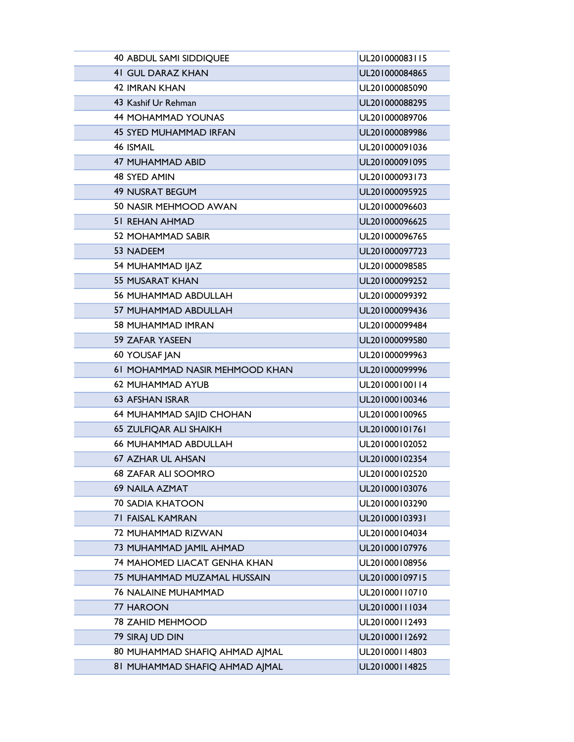| <b>40 ABDUL SAMI SIDDIQUEE</b> | UL201000083115 |  |
|--------------------------------|----------------|--|
| <b>41 GUL DARAZ KHAN</b>       | UL201000084865 |  |
| <b>42 IMRAN KHAN</b>           | UL201000085090 |  |
| 43 Kashif Ur Rehman            | UL201000088295 |  |
| <b>44 MOHAMMAD YOUNAS</b>      | UL201000089706 |  |
| <b>45 SYED MUHAMMAD IRFAN</b>  | UL201000089986 |  |
| 46 ISMAIL                      | UL201000091036 |  |
| <b>47 MUHAMMAD ABID</b>        | UL201000091095 |  |
| 48 SYED AMIN                   | UL201000093173 |  |
| <b>49 NUSRAT BEGUM</b>         | UL201000095925 |  |
| 50 NASIR MEHMOOD AWAN          | UL201000096603 |  |
| <b>51 REHAN AHMAD</b>          | UL201000096625 |  |
| <b>52 MOHAMMAD SABIR</b>       | UL201000096765 |  |
| 53 NADEEM                      | UL201000097723 |  |
| 54 MUHAMMAD IJAZ               | UL201000098585 |  |
| <b>55 MUSARAT KHAN</b>         | UL201000099252 |  |
| <b>56 MUHAMMAD ABDULLAH</b>    | UL201000099392 |  |
| 57 MUHAMMAD ABDULLAH           | UL201000099436 |  |
| 58 MUHAMMAD IMRAN              | UL201000099484 |  |
| 59 ZAFAR YASEEN                | UL201000099580 |  |
| 60 YOUSAF JAN                  | UL201000099963 |  |
| 61 MOHAMMAD NASIR MEHMOOD KHAN | UL201000099996 |  |
| 62 MUHAMMAD AYUB               | UL201000100114 |  |
| <b>63 AFSHAN ISRAR</b>         | UL201000100346 |  |
| 64 MUHAMMAD SAJID CHOHAN       | UL201000100965 |  |
| 65 ZULFIQAR ALI SHAIKH         | UL201000101761 |  |
| <b>66 MUHAMMAD ABDULLAH</b>    | UL201000102052 |  |
| <b>67 AZHAR UL AHSAN</b>       | UL201000102354 |  |
| <b>68 ZAFAR ALI SOOMRO</b>     | UL201000102520 |  |
| <b>69 NAILA AZMAT</b>          | UL201000103076 |  |
| <b>70 SADIA KHATOON</b>        | UL201000103290 |  |
| <b>71 FAISAL KAMRAN</b>        | UL201000103931 |  |
| 72 MUHAMMAD RIZWAN             | UL201000104034 |  |
| 73 MUHAMMAD JAMIL AHMAD        | UL201000107976 |  |
| 74 MAHOMED LIACAT GENHA KHAN   | UL201000108956 |  |
| 75 MUHAMMAD MUZAMAL HUSSAIN    | UL201000109715 |  |
| <b>76 NALAINE MUHAMMAD</b>     | UL201000110710 |  |
| 77 HAROON                      | UL201000111034 |  |
| <b>78 ZAHID MEHMOOD</b>        | UL201000112493 |  |
| 79 SIRAJ UD DIN                | UL201000112692 |  |
| 80 MUHAMMAD SHAFIQ AHMAD AJMAL | UL201000114803 |  |
| 81 MUHAMMAD SHAFIQ AHMAD AJMAL | UL201000114825 |  |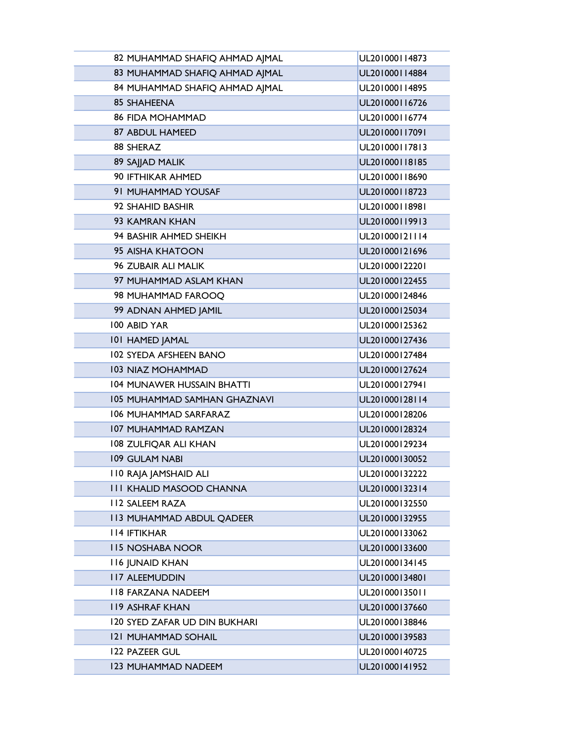| 82 MUHAMMAD SHAFIQ AHMAD AJMAL       | UL201000114873 |  |  |
|--------------------------------------|----------------|--|--|
| 83 MUHAMMAD SHAFIQ AHMAD AJMAL       | UL201000114884 |  |  |
| 84 MUHAMMAD SHAFIQ AHMAD AJMAL       | UL201000114895 |  |  |
| 85 SHAHEENA                          | UL201000116726 |  |  |
| <b>86 FIDA MOHAMMAD</b>              | UL201000116774 |  |  |
| 87 ABDUL HAMEED                      | UL201000117091 |  |  |
| 88 SHERAZ                            | UL201000117813 |  |  |
| 89 SAJJAD MALIK                      | UL201000118185 |  |  |
| 90 IFTHIKAR AHMED                    | UL201000118690 |  |  |
| 91 MUHAMMAD YOUSAF                   | UL201000118723 |  |  |
| 92 SHAHID BASHIR                     | UL201000118981 |  |  |
| 93 KAMRAN KHAN                       | UL201000119913 |  |  |
| 94 BASHIR AHMED SHEIKH               | UL201000121114 |  |  |
| 95 AISHA KHATOON                     | UL201000121696 |  |  |
| <b>96 ZUBAIR ALI MALIK</b>           | UL201000122201 |  |  |
| 97 MUHAMMAD ASLAM KHAN               | UL201000122455 |  |  |
| 98 MUHAMMAD FAROOO                   | UL201000124846 |  |  |
| 99 ADNAN AHMED JAMIL                 | UL201000125034 |  |  |
| 100 ABID YAR                         | UL201000125362 |  |  |
| <b>101 HAMED JAMAL</b>               | UL201000127436 |  |  |
| <b>102 SYEDA AFSHEEN BANO</b>        | UL201000127484 |  |  |
| <b>103 NIAZ MOHAMMAD</b>             | UL201000127624 |  |  |
| <b>104 MUNAWER HUSSAIN BHATTI</b>    | UL201000127941 |  |  |
| 105 MUHAMMAD SAMHAN GHAZNAVI         | UL201000128114 |  |  |
| <b>106 MUHAMMAD SARFARAZ</b>         | UL201000128206 |  |  |
| <b>107 MUHAMMAD RAMZAN</b>           | UL201000128324 |  |  |
| 108 ZULFIQAR ALI KHAN                | UL201000129234 |  |  |
| <b>109 GULAM NABI</b>                | UL201000130052 |  |  |
| <b>IIO RAJA JAMSHAID ALI</b>         | UL201000132222 |  |  |
| <b>III KHALID MASOOD CHANNA</b>      | UL201000132314 |  |  |
| <b>II2 SALEEM RAZA</b>               | UL201000132550 |  |  |
| <b>113 MUHAMMAD ABDUL QADEER</b>     | UL201000132955 |  |  |
| <b>II4 IFTIKHAR</b>                  | UL201000133062 |  |  |
| <b>II5 NOSHABA NOOR</b>              | UL201000133600 |  |  |
| <b>116 JUNAID KHAN</b>               | UL201000134145 |  |  |
| <b>II7 ALEEMUDDIN</b>                | UL201000134801 |  |  |
| <b>118 FARZANA NADEEM</b>            | UL201000135011 |  |  |
| <b>119 ASHRAF KHAN</b>               | UL201000137660 |  |  |
| <b>120 SYED ZAFAR UD DIN BUKHARI</b> | UL201000138846 |  |  |
| <b>121 MUHAMMAD SOHAIL</b>           | UL201000139583 |  |  |
| 122 PAZEER GUL                       | UL201000140725 |  |  |
| <b>123 MUHAMMAD NADEEM</b>           | UL201000141952 |  |  |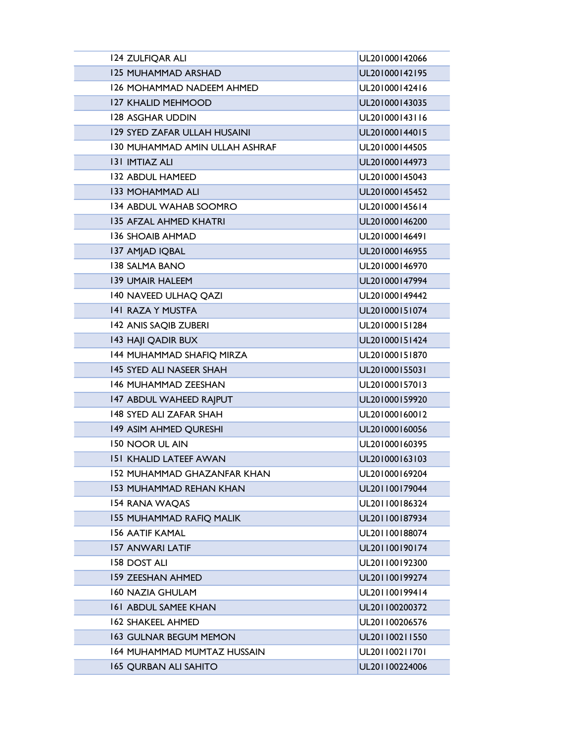| 124 ZULFIQAR ALI                      | UL201000142066 |  |
|---------------------------------------|----------------|--|
| <b>125 MUHAMMAD ARSHAD</b>            | UL201000142195 |  |
| <b>126 MOHAMMAD NADEEM AHMED</b>      | UL201000142416 |  |
| <b>127 KHALID MEHMOOD</b>             | UL201000143035 |  |
| <b>128 ASGHAR UDDIN</b>               | UL201000143116 |  |
| <b>129 SYED ZAFAR ULLAH HUSAINI</b>   | UL201000144015 |  |
| <b>130 MUHAMMAD AMIN ULLAH ASHRAF</b> | UL201000144505 |  |
| <b>131 IMTIAZ ALI</b>                 | UL201000144973 |  |
| <b>132 ABDUL HAMEED</b>               | UL201000145043 |  |
| <b>133 MOHAMMAD ALI</b>               | UL201000145452 |  |
| <b>134 ABDUL WAHAB SOOMRO</b>         | UL201000145614 |  |
| <b>135 AFZAL AHMED KHATRI</b>         | UL201000146200 |  |
| <b>136 SHOAIB AHMAD</b>               | UL201000146491 |  |
| 137 AMJAD IQBAL                       | UL201000146955 |  |
| <b>138 SALMA BANO</b>                 | UL201000146970 |  |
| <b>139 UMAIR HALEEM</b>               | UL201000147994 |  |
| 140 NAVEED ULHAQ QAZI                 | UL201000149442 |  |
| <b>141 RAZA Y MUSTFA</b>              | UL201000151074 |  |
| 142 ANIS SAQIB ZUBERI                 | UL201000151284 |  |
| 143 HAJI QADIR BUX                    | UL201000151424 |  |
| 144 MUHAMMAD SHAFIQ MIRZA             | UL201000151870 |  |
| 145 SYED ALI NASEER SHAH              | UL201000155031 |  |
| <b>146 MUHAMMAD ZEESHAN</b>           | UL201000157013 |  |
| 147 ABDUL WAHEED RAJPUT               | UL201000159920 |  |
| 148 SYED ALI ZAFAR SHAH               | UL201000160012 |  |
| 149 ASIM AHMED QURESHI                | UL201000160056 |  |
| <b>150 NOOR UL AIN</b>                | UL201000160395 |  |
| <b>151 KHALID LATEEF AWAN</b>         | UL201000163103 |  |
| <b>152 MUHAMMAD GHAZANFAR KHAN</b>    | UL201000169204 |  |
| <b>153 MUHAMMAD REHAN KHAN</b>        | UL201100179044 |  |
| 154 RANA WAQAS                        | UL201100186324 |  |
| <b>155 MUHAMMAD RAFIQ MALIK</b>       | UL201100187934 |  |
| <b>156 AATIF KAMAL</b>                | UL201100188074 |  |
| <b>157 ANWARI LATIF</b>               | UL201100190174 |  |
| <b>158 DOST ALI</b>                   | UL201100192300 |  |
| <b>159 ZEESHAN AHMED</b>              | UL201100199274 |  |
| <b>160 NAZIA GHULAM</b>               | UL201100199414 |  |
| <b>161 ABDUL SAMEE KHAN</b>           | UL201100200372 |  |
| <b>162 SHAKEEL AHMED</b>              | UL201100206576 |  |
| <b>163 GULNAR BEGUM MEMON</b>         | UL201100211550 |  |
| <b>164 MUHAMMAD MUMTAZ HUSSAIN</b>    | UL201100211701 |  |
| <b>165 QURBAN ALI SAHITO</b>          | UL201100224006 |  |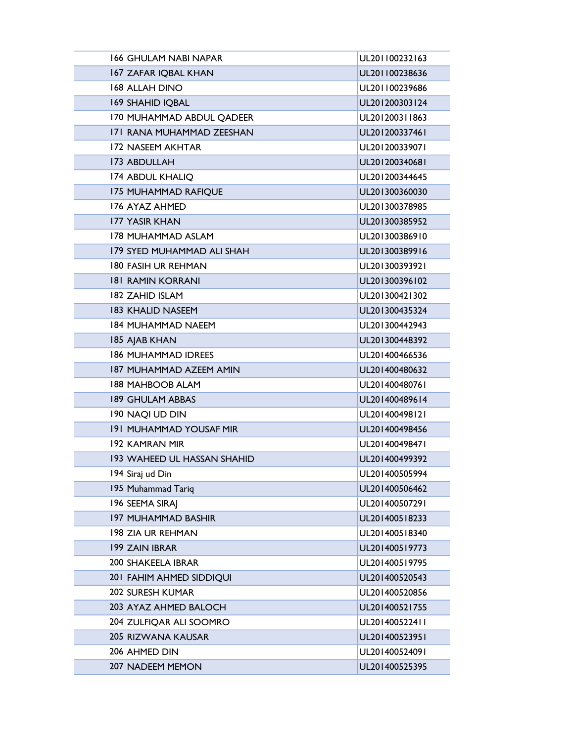| <b>166 GHULAM NABI NAPAR</b>       | UL201100232163 |  |  |
|------------------------------------|----------------|--|--|
| <b>167 ZAFAR IQBAL KHAN</b>        | UL201100238636 |  |  |
| <b>168 ALLAH DINO</b>              | UL201100239686 |  |  |
| <b>169 SHAHID IQBAL</b>            | UL201200303124 |  |  |
| 170 MUHAMMAD ABDUL QADEER          | UL201200311863 |  |  |
| 171 RANA MUHAMMAD ZEESHAN          | UL201200337461 |  |  |
| 172 NASEEM AKHTAR                  | UL201200339071 |  |  |
| 173 ABDULLAH                       | UL201200340681 |  |  |
| <b>174 ABDUL KHALIQ</b>            | UL201200344645 |  |  |
| <b>175 MUHAMMAD RAFIQUE</b>        | UL201300360030 |  |  |
| 176 AYAZ AHMED                     | UL201300378985 |  |  |
| <b>177 YASIR KHAN</b>              | UL201300385952 |  |  |
| <b>178 MUHAMMAD ASLAM</b>          | UL201300386910 |  |  |
| 179 SYED MUHAMMAD ALI SHAH         | UL201300389916 |  |  |
| <b>180 FASIH UR REHMAN</b>         | UL201300393921 |  |  |
| <b>181 RAMIN KORRANI</b>           | UL201300396102 |  |  |
| <b>182 ZAHID ISLAM</b>             | UL201300421302 |  |  |
| <b>183 KHALID NASEEM</b>           | UL201300435324 |  |  |
| <b>184 MUHAMMAD NAEEM</b>          | UL201300442943 |  |  |
| <b>185 AJAB KHAN</b>               | UL201300448392 |  |  |
| <b>186 MUHAMMAD IDREES</b>         | UL201400466536 |  |  |
| <b>187 MUHAMMAD AZEEM AMIN</b>     | UL201400480632 |  |  |
| <b>188 MAHBOOB ALAM</b>            | UL201400480761 |  |  |
| <b>189 GHULAM ABBAS</b>            | UL201400489614 |  |  |
| 190 NAQI UD DIN                    | UL201400498121 |  |  |
| <b>191 MUHAMMAD YOUSAF MIR</b>     | UL201400498456 |  |  |
| <b>192 KAMRAN MIR</b>              | UL201400498471 |  |  |
| <b>193 WAHEED UL HASSAN SHAHID</b> | UL201400499392 |  |  |
| 194 Siraj ud Din                   | UL201400505994 |  |  |
| 195 Muhammad Tariq                 | UL201400506462 |  |  |
| 196 SEEMA SIRAI                    | UL201400507291 |  |  |
| <b>197 MUHAMMAD BASHIR</b>         | UL201400518233 |  |  |
| <b>198 ZIA UR REHMAN</b>           | UL201400518340 |  |  |
| 199 ZAIN IBRAR                     | UL201400519773 |  |  |
| <b>200 SHAKEELA IBRAR</b>          | UL201400519795 |  |  |
| 201 FAHIM AHMED SIDDIQUI           | UL201400520543 |  |  |
| <b>202 SURESH KUMAR</b>            | UL201400520856 |  |  |
| 203 AYAZ AHMED BALOCH              | UL201400521755 |  |  |
| 204 ZULFIQAR ALI SOOMRO            | UL201400522411 |  |  |
| <b>205 RIZWANA KAUSAR</b>          | UL201400523951 |  |  |
| 206 AHMED DIN                      | UL201400524091 |  |  |
| <b>207 NADEEM MEMON</b>            | UL201400525395 |  |  |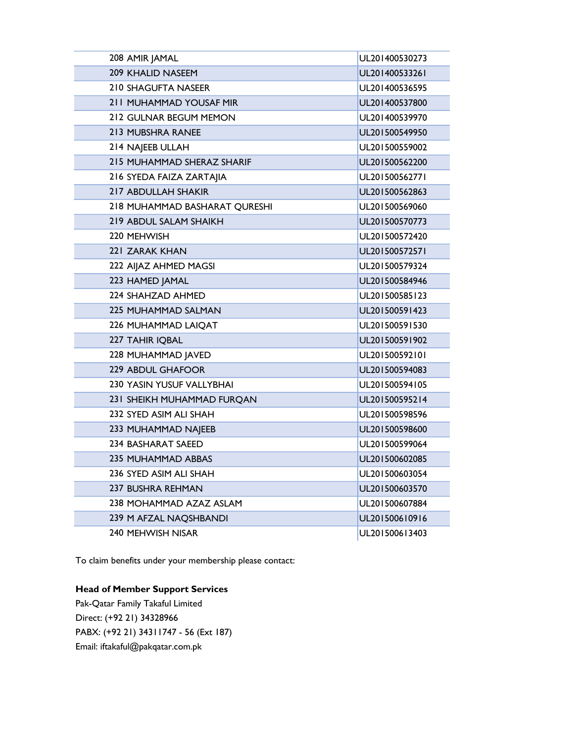| 208 AMIR JAMAL                | UL201400530273 |
|-------------------------------|----------------|
| <b>209 KHALID NASEEM</b>      | UL201400533261 |
| 210 SHAGUFTA NASEER           | UL201400536595 |
| 211 MUHAMMAD YOUSAF MIR       | UL201400537800 |
| 212 GULNAR BEGUM MEMON        | UL201400539970 |
| 213 MUBSHRA RANEE             | UL201500549950 |
| 214 NAJEEB ULLAH              | UL201500559002 |
| 215 MUHAMMAD SHERAZ SHARIF    | UL201500562200 |
| 216 SYEDA FAIZA ZARTAJIA      | UL201500562771 |
| 217 ABDULLAH SHAKIR           | UL201500562863 |
| 218 MUHAMMAD BASHARAT QURESHI | UL201500569060 |
| 219 ABDUL SALAM SHAIKH        | UL201500570773 |
| 220 MEHWISH                   | UL201500572420 |
| 221 ZARAK KHAN                | UL201500572571 |
| 222 AIJAZ AHMED MAGSI         | UL201500579324 |
| 223 HAMED JAMAL               | UL201500584946 |
| 224 SHAHZAD AHMED             | UL201500585123 |
| 225 MUHAMMAD SALMAN           | UL201500591423 |
| 226 MUHAMMAD LAIQAT           | UL201500591530 |
| 227 TAHIR IQBAL               | UL201500591902 |
| 228 MUHAMMAD JAVED            | UL201500592101 |
| <b>229 ABDUL GHAFOOR</b>      | UL201500594083 |
| 230 YASIN YUSUF VALLYBHAI     | UL201500594105 |
| 231 SHEIKH MUHAMMAD FURQAN    | UL201500595214 |
| 232 SYED ASIM ALI SHAH        | UL201500598596 |
| 233 MUHAMMAD NAJEEB           | UL201500598600 |
| 234 BASHARAT SAEED            | UL201500599064 |
| <b>235 MUHAMMAD ABBAS</b>     | UL201500602085 |
| 236 SYED ASIM ALI SHAH        | UL201500603054 |
| <b>237 BUSHRA REHMAN</b>      | UL201500603570 |
| 238 MOHAMMAD AZAZ ASLAM       | UL201500607884 |
| 239 M AFZAL NAQSHBANDI        | UL201500610916 |
| 240 MEHWISH NISAR             | UL201500613403 |

To claim benefits under your membership please contact:

## Head of Member Support Services

Pak-Qatar Family Takaful Limited Direct: (+92 21) 34328966 PABX: (+92 21) 34311747 - 56 (Ext 187) Email: iftakaful@pakqatar.com.pk